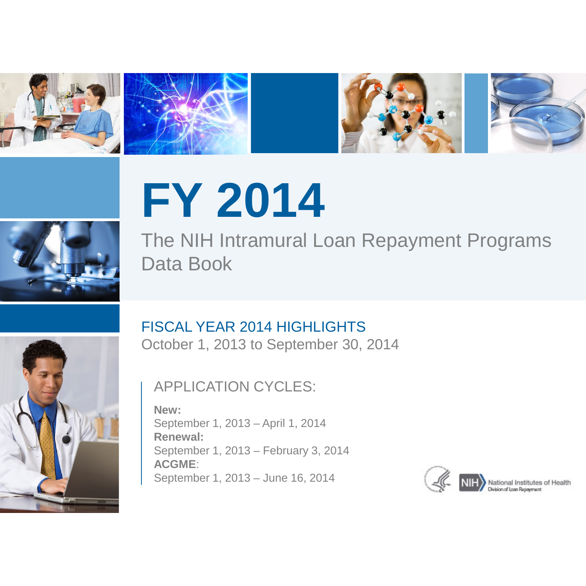







# **FY 2014**

The NIH Intramural Loan Repayment Programs Data Book



# FISCAL YEAR 2014 HIGHLIGHTS

October 1, 2013 to September 30, 2014

## APPLICATION CYCLES:

**New:**  September 1, 2013 – April 1, 2014 **Renewal:**  September 1, 2013 – February 3, 2014 **ACGME**: September 1, 2013 – June 16, 2014

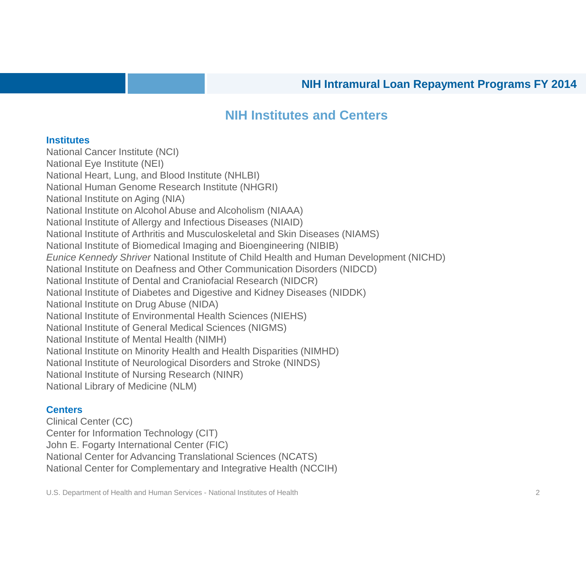#### **NIH Institutes and Centers**

#### **Institutes**

National Cancer Institute (NCI) National Eye Institute (NEI) National Heart, Lung, and Blood Institute (NHLBI) National Human Genome Research Institute (NHGRI) National Institute on Aging (NIA) National Institute on Alcohol Abuse and Alcoholism (NIAAA) National Institute of Allergy and Infectious Diseases (NIAID) National Institute of Arthritis and Musculoskeletal and Skin Diseases (NIAMS) National Institute of Biomedical Imaging and Bioengineering (NIBIB) *Eunice Kennedy Shriver* National Institute of Child Health and Human Development (NICHD) National Institute on Deafness and Other Communication Disorders (NIDCD) National Institute of Dental and Craniofacial Research (NIDCR) National Institute of Diabetes and Digestive and Kidney Diseases (NIDDK) National Institute on Drug Abuse (NIDA) National Institute of Environmental Health Sciences (NIEHS) National Institute of General Medical Sciences (NIGMS) National Institute of Mental Health (NIMH) National Institute on Minority Health and Health Disparities (NIMHD) National Institute of Neurological Disorders and Stroke (NINDS) National Institute of Nursing Research (NINR) National Library of Medicine (NLM)

#### **Centers**

Clinical Center (CC) Center for Information Technology (CIT) John E. Fogarty International Center (FIC) National Center for Advancing Translational Sciences (NCATS) National Center for Complementary and Integrative Health (NCCIH)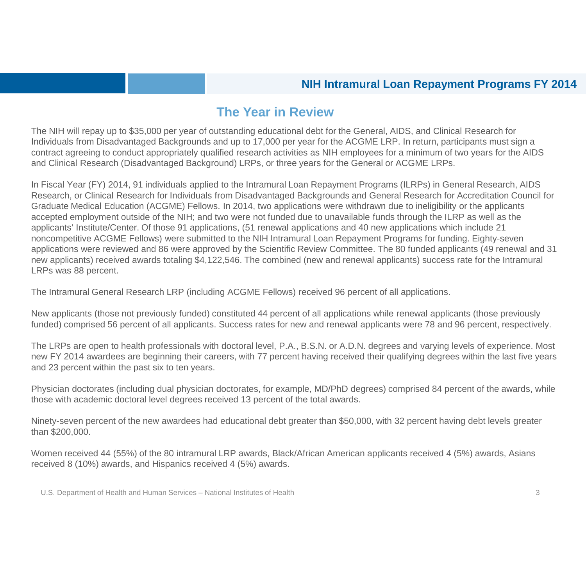#### **The Year in Review**

The NIH will repay up to \$35,000 per year of outstanding educational debt for the General, AIDS, and Clinical Research for Individuals from Disadvantaged Backgrounds and up to 17,000 per year for the ACGME LRP. In return, participants must sign a contract agreeing to conduct appropriately qualified research activities as NIH employees for a minimum of two years for the AIDS and Clinical Research (Disadvantaged Background) LRPs, or three years for the General or ACGME LRPs.

In Fiscal Year (FY) 2014, 91 individuals applied to the Intramural Loan Repayment Programs (ILRPs) in General Research, AIDS Research, or Clinical Research for Individuals from Disadvantaged Backgrounds and General Research for Accreditation Council for Graduate Medical Education (ACGME) Fellows. In 2014, two applications were withdrawn due to ineligibility or the applicants accepted employment outside of the NIH; and two were not funded due to unavailable funds through the ILRP as well as the applicants' Institute/Center. Of those 91 applications, (51 renewal applications and 40 new applications which include 21 noncompetitive ACGME Fellows) were submitted to the NIH Intramural Loan Repayment Programs for funding. Eighty-seven applications were reviewed and 86 were approved by the Scientific Review Committee. The 80 funded applicants (49 renewal and 31 new applicants) received awards totaling \$4,122,546. The combined (new and renewal applicants) success rate for the Intramural LRPs was 88 percent.

The Intramural General Research LRP (including ACGME Fellows) received 96 percent of all applications.

New applicants (those not previously funded) constituted 44 percent of all applications while renewal applicants (those previously funded) comprised 56 percent of all applicants. Success rates for new and renewal applicants were 78 and 96 percent, respectively.

The LRPs are open to health professionals with doctoral level, P.A., B.S.N. or A.D.N. degrees and varying levels of experience. Most new FY 2014 awardees are beginning their careers, with 77 percent having received their qualifying degrees within the last five years and 23 percent within the past six to ten years.

Physician doctorates (including dual physician doctorates, for example, MD/PhD degrees) comprised 84 percent of the awards, while those with academic doctoral level degrees received 13 percent of the total awards.

Ninety-seven percent of the new awardees had educational debt greater than \$50,000, with 32 percent having debt levels greater than \$200,000.

Women received 44 (55%) of the 80 intramural LRP awards, Black/African American applicants received 4 (5%) awards, Asians received 8 (10%) awards, and Hispanics received 4 (5%) awards.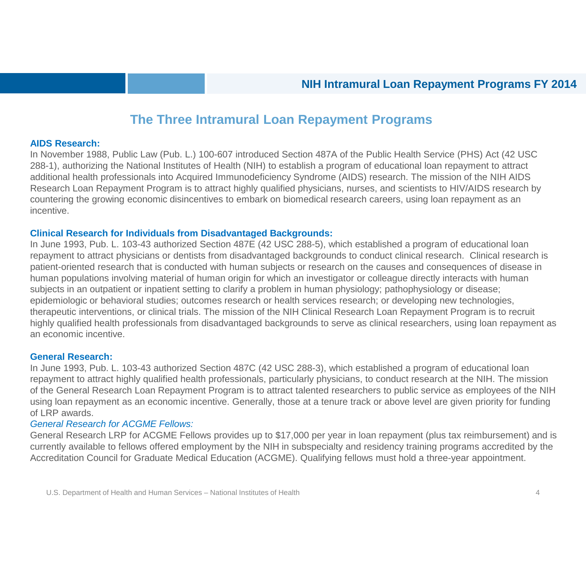#### **The Three Intramural Loan Repayment Programs**

#### **AIDS Research:**

In November 1988, Public Law (Pub. L.) 100-607 introduced Section 487A of the Public Health Service (PHS) Act (42 USC 288-1), authorizing the National Institutes of Health (NIH) to establish a program of educational loan repayment to attract additional health professionals into Acquired Immunodeficiency Syndrome (AIDS) research. The mission of the NIH AIDS Research Loan Repayment Program is to attract highly qualified physicians, nurses, and scientists to HIV/AIDS research by countering the growing economic disincentives to embark on biomedical research careers, using loan repayment as an incentive.

#### **Clinical Research for Individuals from Disadvantaged Backgrounds:**

In June 1993, Pub. L. 103-43 authorized Section 487E (42 USC 288-5), which established a program of educational loan repayment to attract physicians or dentists from disadvantaged backgrounds to conduct clinical research. Clinical research is patient-oriented research that is conducted with human subjects or research on the causes and consequences of disease in human populations involving material of human origin for which an investigator or colleague directly interacts with human subjects in an outpatient or inpatient setting to clarify a problem in human physiology; pathophysiology or disease; epidemiologic or behavioral studies; outcomes research or health services research; or developing new technologies, therapeutic interventions, or clinical trials. The mission of the NIH Clinical Research Loan Repayment Program is to recruit highly qualified health professionals from disadvantaged backgrounds to serve as clinical researchers, using loan repayment as an economic incentive.

#### **General Research:**

In June 1993, Pub. L. 103-43 authorized Section 487C (42 USC 288-3), which established a program of educational loan repayment to attract highly qualified health professionals, particularly physicians, to conduct research at the NIH. The mission of the General Research Loan Repayment Program is to attract talented researchers to public service as employees of the NIH using loan repayment as an economic incentive. Generally, those at a tenure track or above level are given priority for funding of LRP awards.

#### *General Research for ACGME Fellows:*

General Research LRP for ACGME Fellows provides up to \$17,000 per year in loan repayment (plus tax reimbursement) and is currently available to fellows offered employment by the NIH in subspecialty and residency training programs accredited by the Accreditation Council for Graduate Medical Education (ACGME). Qualifying fellows must hold a three-year appointment.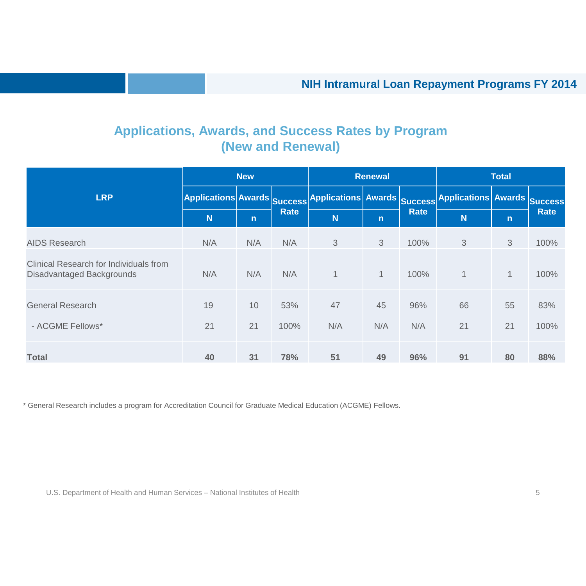#### **Applications, Awards, and Success Rates by Program (New and Renewal)**

|                                                                            | <b>New</b>                 |              | <b>Renewal</b> |                                                                               |              | <b>Total</b> |             |              |             |
|----------------------------------------------------------------------------|----------------------------|--------------|----------------|-------------------------------------------------------------------------------|--------------|--------------|-------------|--------------|-------------|
| <b>LRP</b>                                                                 | <b>Applications Awards</b> |              | <b>Success</b> | Applications Awards <sub>Success</sub> Applications Awards <sub>Success</sub> |              | <b>Rate</b>  |             |              | <b>Rate</b> |
|                                                                            | N                          | $\mathsf{n}$ | <b>Rate</b>    | N                                                                             | $\mathsf{n}$ |              | N           | $\mathsf{n}$ |             |
| <b>AIDS Research</b>                                                       | N/A                        | N/A          | N/A            | 3                                                                             | 3            | 100%         | 3           | 3            | 100%        |
| Clinical Research for Individuals from<br><b>Disadvantaged Backgrounds</b> | N/A                        | N/A          | N/A            | 1                                                                             | $\mathbf{1}$ | 100%         | $\mathbf 1$ | $\mathbf{1}$ | 100%        |
| <b>General Research</b>                                                    | 19                         | 10           | 53%            | 47                                                                            | 45           | 96%          | 66          | 55           | 83%         |
| - ACGME Fellows*                                                           | 21                         | 21           | 100%           | N/A                                                                           | N/A          | N/A          | 21          | 21           | 100%        |
| <b>Total</b>                                                               | 40                         | 31           | 78%            | 51                                                                            | 49           | 96%          | 91          | 80           | 88%         |

\* General Research includes a program for Accreditation Council for Graduate Medical Education (ACGME) Fellows.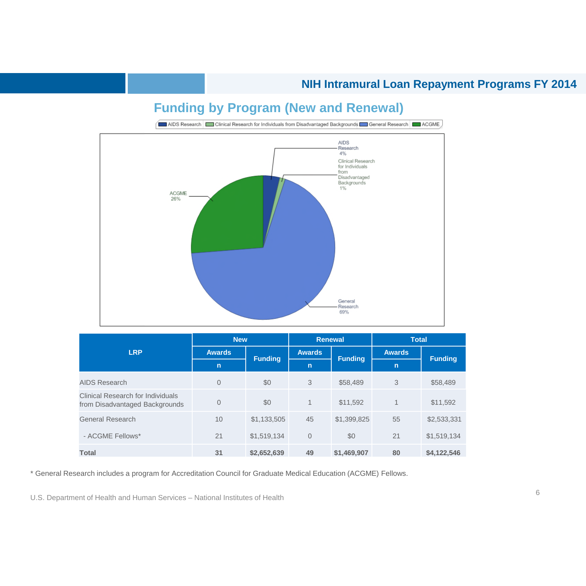## **Funding by Program (New and Renewal)**



|                                                                     | <b>New</b>     |                | <b>Renewal</b> |                | <b>Total</b>  |                |  |
|---------------------------------------------------------------------|----------------|----------------|----------------|----------------|---------------|----------------|--|
| <b>LRP</b>                                                          | <b>Awards</b>  | <b>Funding</b> | <b>Awards</b>  | <b>Funding</b> | <b>Awards</b> |                |  |
|                                                                     | $\mathbf n$    |                | $\mathsf{n}$   |                | $\mathsf{n}$  | <b>Funding</b> |  |
| AIDS Research                                                       | $\overline{0}$ | \$0            | 3              | \$58,489       | 3             | \$58,489       |  |
| Clinical Research for Individuals<br>from Disadvantaged Backgrounds | $\overline{0}$ | \$0            | $\mathbf 1$    | \$11,592       | $\mathbf{1}$  | \$11,592       |  |
| <b>General Research</b>                                             | 10             | \$1,133,505    | 45             | \$1,399,825    | 55            | \$2,533,331    |  |
| - ACGME Fellows*                                                    | 21             | \$1,519,134    | $\overline{0}$ | \$0            | 21            | \$1,519,134    |  |
| <b>Total</b>                                                        | 31             | \$2,652,639    | 49             | \$1,469,907    | 80            | \$4,122,546    |  |

\* General Research includes a program for Accreditation Council for Graduate Medical Education (ACGME) Fellows.

<sup>6</sup> U.S. Department of Health and Human Services – National Institutes of Health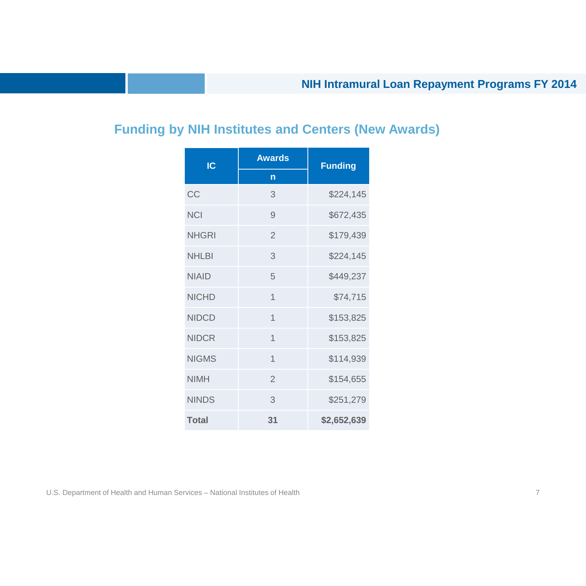## **Funding by NIH Institutes and Centers (New Awards)**

| $\overline{\text{IC}}$ | <b>Awards</b>  | <b>Funding</b> |
|------------------------|----------------|----------------|
|                        | n              |                |
| CC                     | 3              | \$224,145      |
| <b>NCI</b>             | 9              | \$672,435      |
| <b>NHGRI</b>           | $\mathcal{P}$  | \$179,439      |
| <b>NHI BI</b>          | 3              | \$224,145      |
| <b>NIAID</b>           | 5              | \$449,237      |
| <b>NICHD</b>           | $\overline{1}$ | \$74,715       |
| <b>NIDCD</b>           | $\overline{1}$ | \$153,825      |
| <b>NIDCR</b>           | $\overline{1}$ | \$153,825      |
| <b>NIGMS</b>           | $\overline{1}$ | \$114,939      |
| <b>NIMH</b>            | $\overline{2}$ | \$154,655      |
| <b>NINDS</b>           | 3              | \$251,279      |
| <b>Total</b>           | 31             | \$2,652,639    |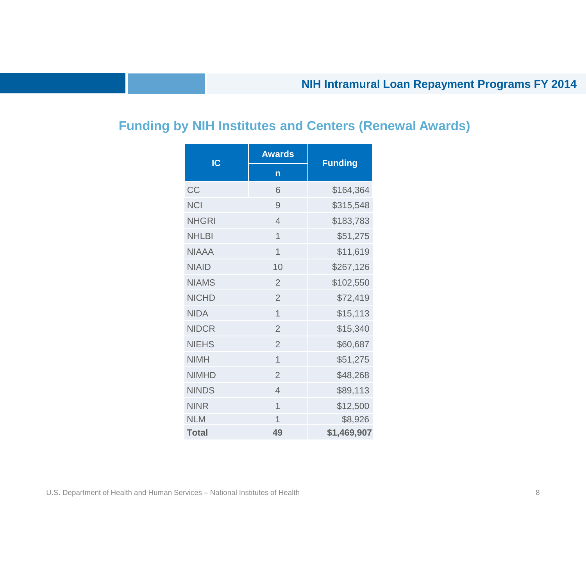## **Funding by NIH Institutes and Centers (Renewal Awards)**

| IC           | <b>Awards</b>  | <b>Funding</b> |
|--------------|----------------|----------------|
|              | n              |                |
| CC           | 6              | \$164,364      |
| <b>NCI</b>   | 9              | \$315,548      |
| <b>NHGRI</b> | 4              | \$183,783      |
| <b>NHLBI</b> | 1              | \$51,275       |
| <b>NIAAA</b> | 1              | \$11,619       |
| <b>NIAID</b> | 10             | \$267,126      |
| <b>NIAMS</b> | $\overline{2}$ | \$102,550      |
| <b>NICHD</b> | $\overline{2}$ | \$72,419       |
| <b>NIDA</b>  | $\overline{1}$ | \$15,113       |
| <b>NIDCR</b> | $\overline{2}$ | \$15,340       |
| <b>NIEHS</b> | $\overline{2}$ | \$60,687       |
| <b>NIMH</b>  | $\overline{1}$ | \$51,275       |
| <b>NIMHD</b> | $\overline{2}$ | \$48,268       |
| <b>NINDS</b> | $\overline{4}$ | \$89,113       |
| <b>NINR</b>  | $\overline{1}$ | \$12,500       |
| <b>NLM</b>   | $\overline{1}$ | \$8,926        |
| <b>Total</b> | 49             | \$1,469,907    |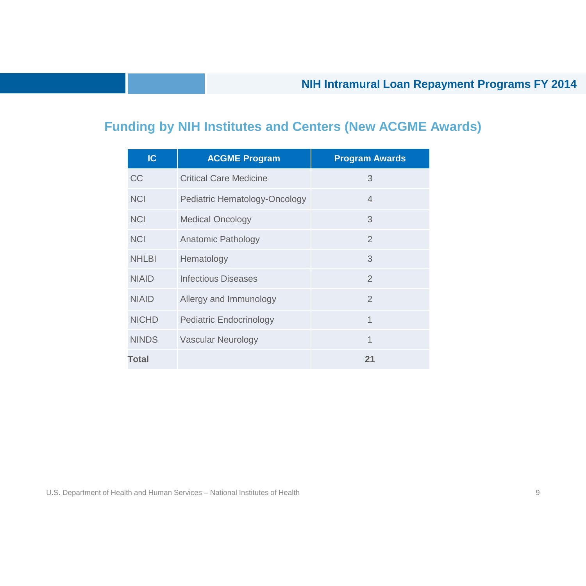## **Funding by NIH Institutes and Centers (New ACGME Awards)**

| IC           | <b>ACGME Program</b>           | <b>Program Awards</b> |
|--------------|--------------------------------|-----------------------|
| <b>CC</b>    | <b>Critical Care Medicine</b>  | 3                     |
| <b>NCI</b>   | Pediatric Hematology-Oncology  | $\overline{4}$        |
| <b>NCI</b>   | <b>Medical Oncology</b>        | 3                     |
| <b>NCI</b>   | Anatomic Pathology             | $\mathcal{P}$         |
| <b>NHLBI</b> | Hematology                     | 3                     |
| <b>NIAID</b> | <b>Infectious Diseases</b>     | $\overline{2}$        |
| <b>NIAID</b> | Allergy and Immunology         | $\mathcal{P}$         |
| <b>NICHD</b> | <b>Pediatric Endocrinology</b> | 1                     |
| <b>NINDS</b> | <b>Vascular Neurology</b>      | 1                     |
| <b>Total</b> |                                | 21                    |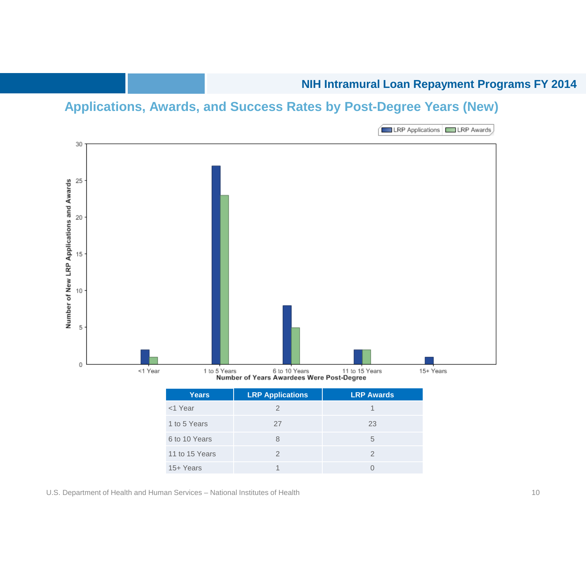#### **NIH Intramural Loan Repayment Programs FY 2014**

## **Applications, Awards, and Success Rates by Post-Degree Years (New)**



| <b>Years</b>   | <b>LRP Applications</b> | <b>LRP Awards</b> |
|----------------|-------------------------|-------------------|
| <1 Year        |                         |                   |
| 1 to 5 Years   | 27                      | 23                |
| 6 to 10 Years  | 8                       | 5                 |
| 11 to 15 Years |                         |                   |
| 15+ Years      |                         |                   |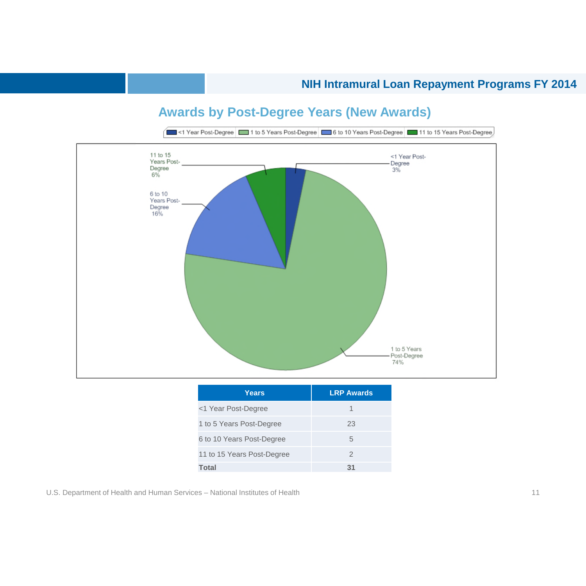

#### **Awards by Post-Degree Years (New Awards)**

| Years                      | <b>LRP Awards</b> |
|----------------------------|-------------------|
| <1 Year Post-Degree        | 1                 |
| 1 to 5 Years Post-Degree   | 23                |
| 6 to 10 Years Post-Degree  | 5                 |
| 11 to 15 Years Post-Degree | 2                 |
| <b>Total</b>               | 31                |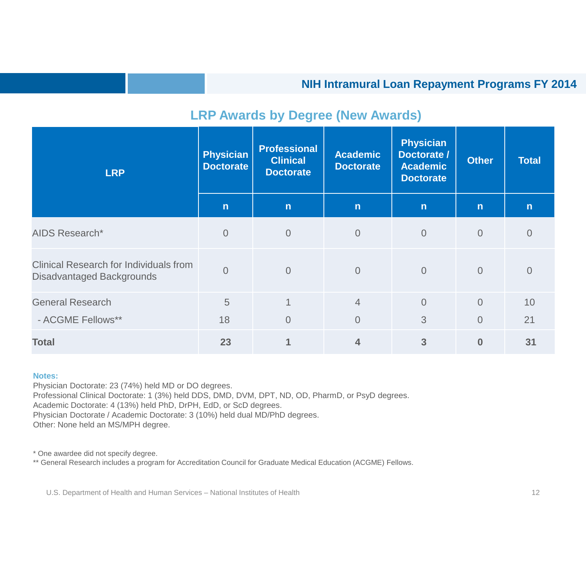#### **LRP Awards by Degree (New Awards)**

| <b>LRP</b>                                                                        | <b>Physician</b><br><b>Doctorate</b> | <b>Professional</b><br><b>Clinical</b><br><b>Doctorate</b> | <b>Academic</b><br><b>Doctorate</b> | <b>Physician</b><br>Doctorate /<br>Academic<br><b>Doctorate</b> | <b>Other</b>   | <b>Total</b> |
|-----------------------------------------------------------------------------------|--------------------------------------|------------------------------------------------------------|-------------------------------------|-----------------------------------------------------------------|----------------|--------------|
|                                                                                   | $\mathsf{n}$                         | $\mathsf{n}$                                               | $\mathsf{n}$                        | n                                                               | $\mathsf{n}$   | $\mathsf{n}$ |
| <b>AIDS Research*</b>                                                             | $\overline{0}$                       | $\overline{0}$                                             | $\overline{0}$                      | $\overline{0}$                                                  | $\overline{0}$ | 0            |
| <b>Clinical Research for Individuals from</b><br><b>Disadvantaged Backgrounds</b> | $\Omega$                             | $\Omega$                                                   | $\overline{0}$                      | $\overline{0}$                                                  | $\overline{0}$ | $\Omega$     |
| <b>General Research</b>                                                           | 5                                    | $\mathbf 1$                                                | $\overline{4}$                      | $\overline{0}$                                                  | $\overline{0}$ | 10           |
| - ACGME Fellows**                                                                 | 18                                   | $\overline{0}$                                             | $\overline{0}$                      | 3                                                               | $\overline{0}$ | 21           |
| <b>Total</b>                                                                      | 23                                   |                                                            | $\overline{\mathbf{4}}$             | 3                                                               | $\bf{0}$       | 31           |

#### **Notes:**

Physician Doctorate: 23 (74%) held MD or DO degrees. Professional Clinical Doctorate: 1 (3%) held DDS, DMD, DVM, DPT, ND, OD, PharmD, or PsyD degrees. Academic Doctorate: 4 (13%) held PhD, DrPH, EdD, or ScD degrees. Physician Doctorate / Academic Doctorate: 3 (10%) held dual MD/PhD degrees. Other: None held an MS/MPH degree.

\* One awardee did not specify degree.

\*\* General Research includes a program for Accreditation Council for Graduate Medical Education (ACGME) Fellows.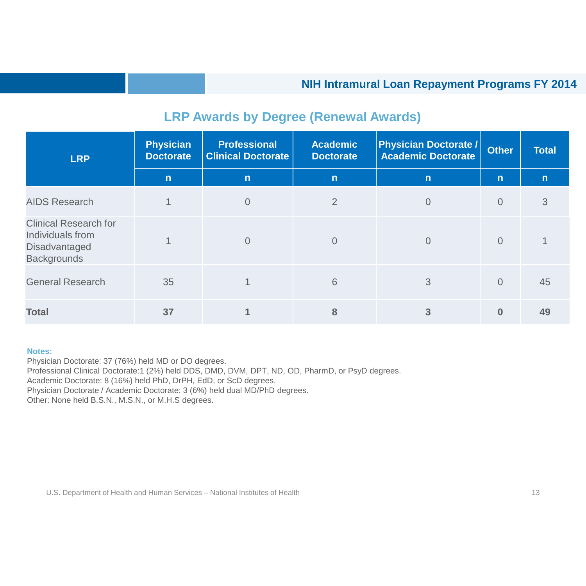| <b>LRP</b>                                                                                     | <b>Physician</b><br><b>Doctorate</b> | <b>Professional</b><br><b>Clinical Doctorate</b> | <b>Academic</b><br><b>Doctorate</b> | <b>Physician Doctorate /</b><br><b>Academic Doctorate</b> | <b>Other</b>   | <b>Total</b> |
|------------------------------------------------------------------------------------------------|--------------------------------------|--------------------------------------------------|-------------------------------------|-----------------------------------------------------------|----------------|--------------|
|                                                                                                | n                                    | n                                                | $\mathsf{n}$                        | $\mathsf{n}$                                              | $\mathsf{n}$   | $\mathsf{n}$ |
| <b>AIDS Research</b>                                                                           |                                      | $\overline{0}$                                   | $\overline{2}$                      | $\Omega$                                                  | $\overline{0}$ | 3            |
| <b>Clinical Research for</b><br>Individuals from<br><b>Disadvantaged</b><br><b>Backgrounds</b> |                                      | $\overline{0}$                                   | $\overline{0}$                      | $\Omega$                                                  | $\Omega$       |              |
| <b>General Research</b>                                                                        | 35                                   |                                                  | 6                                   | 3                                                         | $\Omega$       | 45           |
| <b>Total</b>                                                                                   | 37                                   |                                                  | 8                                   | 3                                                         | $\bf{0}$       | 49           |

#### **LRP Awards by Degree (Renewal Awards)**

#### **Notes:**

Physician Doctorate: 37 (76%) held MD or DO degrees. Professional Clinical Doctorate:1 (2%) held DDS, DMD, DVM, DPT, ND, OD, PharmD, or PsyD degrees. Academic Doctorate: 8 (16%) held PhD, DrPH, EdD, or ScD degrees. Physician Doctorate / Academic Doctorate: 3 (6%) held dual MD/PhD degrees. Other: None held B.S.N., M.S.N., or M.H.S degrees.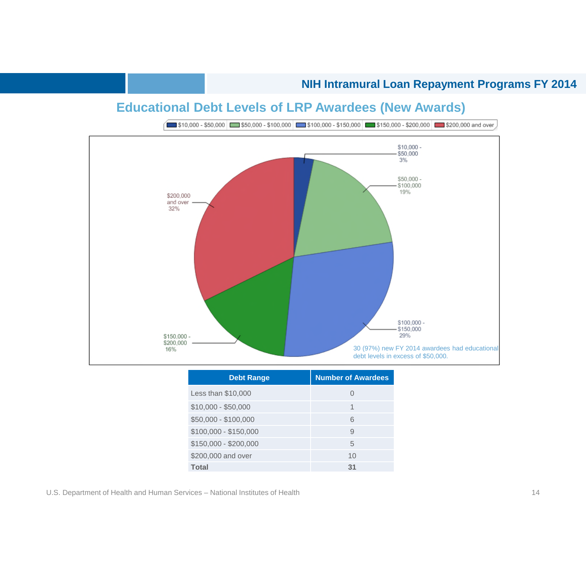## **Educational Debt Levels of LRP Awardees (New Awards)**



| <b>Debt Range</b>     | <b>Number of Awardees</b> |
|-----------------------|---------------------------|
| Less than \$10,000    | $\bigcap$                 |
| $$10,000 - $50,000$   | 1                         |
| \$50,000 - \$100,000  | 6                         |
| $$100,000 - $150,000$ | 9                         |
| $$150,000 - $200,000$ | 5                         |
| \$200,000 and over    | 10                        |
| <b>Total</b>          | 31                        |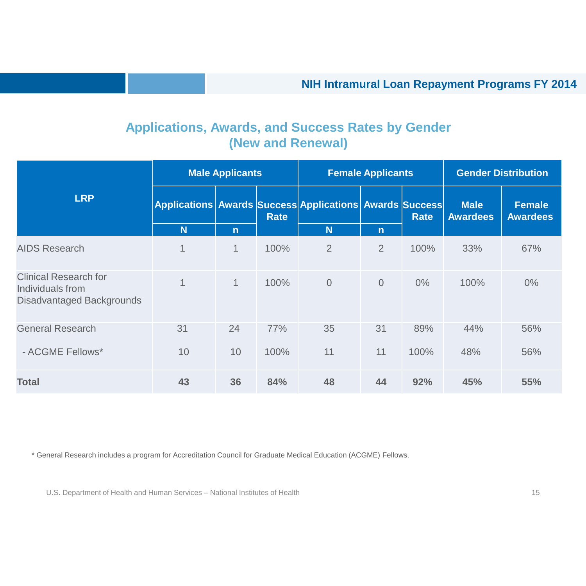## **Applications, Awards, and Success Rates by Gender (New and Renewal)**

|                                                                                      | <b>Male Applicants</b> |              |             | <b>Female Applicants</b>                                |                |             | <b>Gender Distribution</b>     |                                  |
|--------------------------------------------------------------------------------------|------------------------|--------------|-------------|---------------------------------------------------------|----------------|-------------|--------------------------------|----------------------------------|
| <b>LRP</b>                                                                           |                        |              | <b>Rate</b> | Applications Awards Success Applications Awards Success |                | <b>Rate</b> | <b>Male</b><br><b>Awardees</b> | <b>Female</b><br><b>Awardees</b> |
|                                                                                      | N                      | $\mathsf{n}$ |             | <b>N</b>                                                | $\mathsf{n}$   |             |                                |                                  |
| <b>AIDS Research</b>                                                                 | $\mathbf 1$            | $\mathbf{1}$ | 100%        | $\overline{2}$                                          | $\overline{2}$ | 100%        | 33%                            | 67%                              |
| <b>Clinical Research for</b><br>Individuals from<br><b>Disadvantaged Backgrounds</b> | $\mathbf 1$            | $\mathbf{1}$ | 100%        | $\overline{0}$                                          | $\overline{0}$ | $0\%$       | 100%                           | $0\%$                            |
| <b>General Research</b>                                                              | 31                     | 24           | 77%         | 35                                                      | 31             | 89%         | 44%                            | 56%                              |
| - ACGME Fellows*                                                                     | 10                     | 10           | 100%        | 11                                                      | 11             | 100%        | 48%                            | 56%                              |
| <b>Total</b>                                                                         | 43                     | 36           | 84%         | 48                                                      | 44             | 92%         | 45%                            | 55%                              |

\* General Research includes a program for Accreditation Council for Graduate Medical Education (ACGME) Fellows.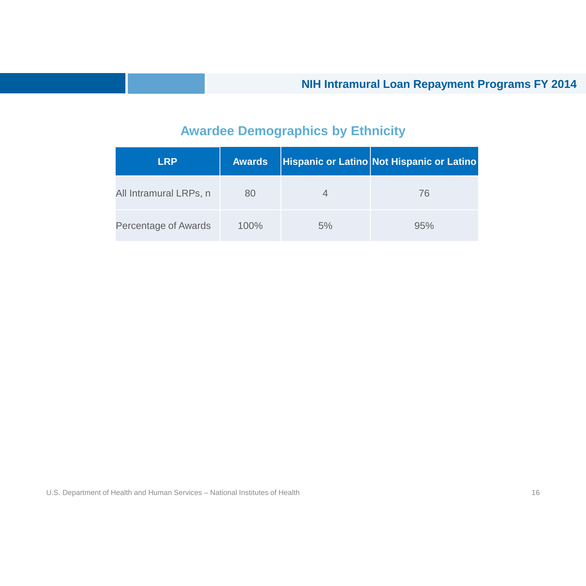## **Awardee Demographics by Ethnicity**

| <b>LRP</b>                  | <b>Awards</b> |    | Hispanic or Latino Not Hispanic or Latino |
|-----------------------------|---------------|----|-------------------------------------------|
| All Intramural LRPs, n      | 80            |    | 76                                        |
| <b>Percentage of Awards</b> | 100%          | 5% | 95%                                       |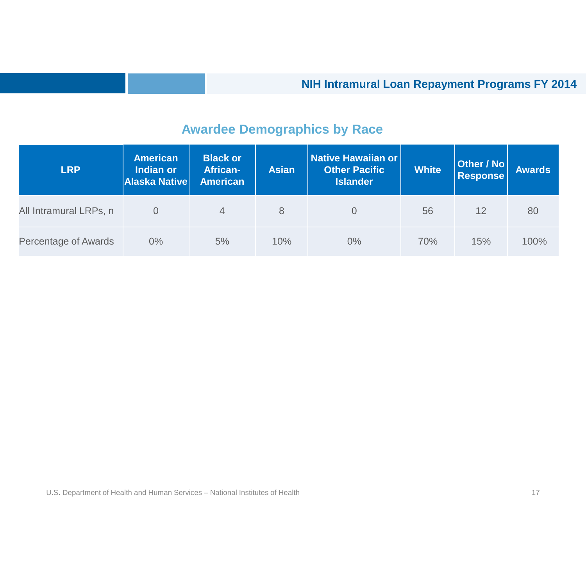## **Awardee Demographics by Race**

| <b>LRP</b>                  | <b>American</b><br>Indian or<br><b>Alaska Native</b> | <b>Black or</b><br><b>African-</b><br><b>American</b> | <b>Asian</b> | <b>Native Hawaiian or</b><br><b>Other Pacific</b><br><b>Islander</b> | <b>White</b> | Other / No<br><b>Response</b> | <b>Awards</b> |
|-----------------------------|------------------------------------------------------|-------------------------------------------------------|--------------|----------------------------------------------------------------------|--------------|-------------------------------|---------------|
| All Intramural LRPs, n      |                                                      | $\overline{4}$                                        | 8            | 0                                                                    | 56           | 12                            | 80            |
| <b>Percentage of Awards</b> | $0\%$                                                | 5%                                                    | 10%          | $0\%$                                                                | 70%          | 15%                           | 100%          |